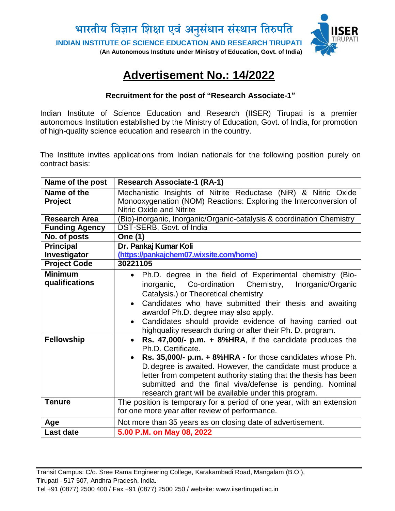

# **Advertisement No.: 14/2022**

### **Recruitment for the post of "Research Associate-1"**

Indian Institute of Science Education and Research (IISER) Tirupati is a premier autonomous Institution established by the Ministry of Education, Govt. of India, for promotion of high-quality science education and research in the country.

The Institute invites applications from Indian nationals for the following position purely on contract basis:

| Name of the post                                      | <b>Research Associate-1 (RA-1)</b>                                                                                                                                                                                                                                                                                                                                                                                                                                                                                    |
|-------------------------------------------------------|-----------------------------------------------------------------------------------------------------------------------------------------------------------------------------------------------------------------------------------------------------------------------------------------------------------------------------------------------------------------------------------------------------------------------------------------------------------------------------------------------------------------------|
| Name of the<br>Project                                | Mechanistic Insights of Nitrite Reductase (NiR) & Nitric Oxide<br>Monooxygenation (NOM) Reactions: Exploring the Interconversion of<br><b>Nitric Oxide and Nitrite</b>                                                                                                                                                                                                                                                                                                                                                |
| <b>Research Area</b>                                  | (Bio)-inorganic, Inorganic/Organic-catalysis & coordination Chemistry                                                                                                                                                                                                                                                                                                                                                                                                                                                 |
| <b>Funding Agency</b>                                 | DST-SERB, Govt. of India                                                                                                                                                                                                                                                                                                                                                                                                                                                                                              |
| No. of posts                                          | One (1)                                                                                                                                                                                                                                                                                                                                                                                                                                                                                                               |
| <b>Principal</b><br>Investigator                      | Dr. Pankaj Kumar Koli<br>(https://pankajchem07.wixsite.com/home)                                                                                                                                                                                                                                                                                                                                                                                                                                                      |
| <b>Project Code</b>                                   | 30221105                                                                                                                                                                                                                                                                                                                                                                                                                                                                                                              |
| <b>Minimum</b><br>qualifications<br><b>Fellowship</b> | Ph.D. degree in the field of Experimental chemistry (Bio-<br>inorganic, Co-ordination Chemistry,<br>Inorganic/Organic<br>Catalysis.) or Theoretical chemistry<br>Candidates who have submitted their thesis and awaiting<br>$\bullet$<br>awardof Ph.D. degree may also apply.<br>Candidates should provide evidence of having carried out<br>$\bullet$<br>highquality research during or after their Ph. D. program.<br>Rs. 47,000/- p.m. $+$ 8%HRA, if the candidate produces the<br>$\bullet$<br>Ph.D. Certificate. |
|                                                       | Rs. 35,000/- p.m. + 8%HRA - for those candidates whose Ph.<br>D. degree is awaited. However, the candidate must produce a<br>letter from competent authority stating that the thesis has been<br>submitted and the final viva/defense is pending. Nominal<br>research grant will be available under this program.                                                                                                                                                                                                     |
| <b>Tenure</b>                                         | The position is temporary for a period of one year, with an extension<br>for one more year after review of performance.                                                                                                                                                                                                                                                                                                                                                                                               |
| Age                                                   | Not more than 35 years as on closing date of advertisement.                                                                                                                                                                                                                                                                                                                                                                                                                                                           |
| <b>Last date</b>                                      | 5.00 P.M. on May 08, 2022                                                                                                                                                                                                                                                                                                                                                                                                                                                                                             |

Transit Campus: C/o. Sree Rama Engineering College, Karakambadi Road, Mangalam (B.O.), Tirupati - 517 507, Andhra Pradesh, India.

Tel +91 (0877) 2500 400 / Fax +91 (0877) 2500 250 / website: www.iisertirupati.ac.in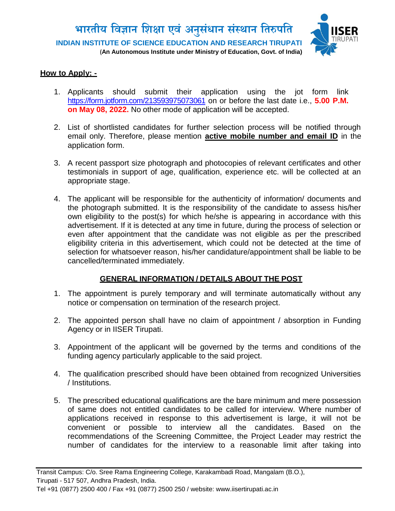

#### **How to Apply: -**

- 1. Applicants should submit their application using the jot form link <https://form.jotform.com/213593975073061> on or before the last date i.e., **5.00 P.M. on May 08, 2022.** No other mode of application will be accepted.
- 2. List of shortlisted candidates for further selection process will be notified through email only. Therefore, please mention **active mobile number and email ID** in the application form.
- 3. A recent passport size photograph and photocopies of relevant certificates and other testimonials in support of age, qualification, experience etc. will be collected at an appropriate stage.
- 4. The applicant will be responsible for the authenticity of information/ documents and the photograph submitted. It is the responsibility of the candidate to assess his/her own eligibility to the post(s) for which he/she is appearing in accordance with this advertisement. If it is detected at any time in future, during the process of selection or even after appointment that the candidate was not eligible as per the prescribed eligibility criteria in this advertisement, which could not be detected at the time of selection for whatsoever reason, his/her candidature/appointment shall be liable to be cancelled/terminated immediately.

## **GENERAL INFORMATION / DETAILS ABOUT THE POST**

- 1. The appointment is purely temporary and will terminate automatically without any notice or compensation on termination of the research project.
- 2. The appointed person shall have no claim of appointment / absorption in Funding Agency or in IISER Tirupati.
- 3. Appointment of the applicant will be governed by the terms and conditions of the funding agency particularly applicable to the said project.
- 4. The qualification prescribed should have been obtained from recognized Universities / Institutions.
- 5. The prescribed educational qualifications are the bare minimum and mere possession of same does not entitled candidates to be called for interview. Where number of applications received in response to this advertisement is large, it will not be convenient or possible to interview all the candidates. Based on the recommendations of the Screening Committee, the Project Leader may restrict the number of candidates for the interview to a reasonable limit after taking into